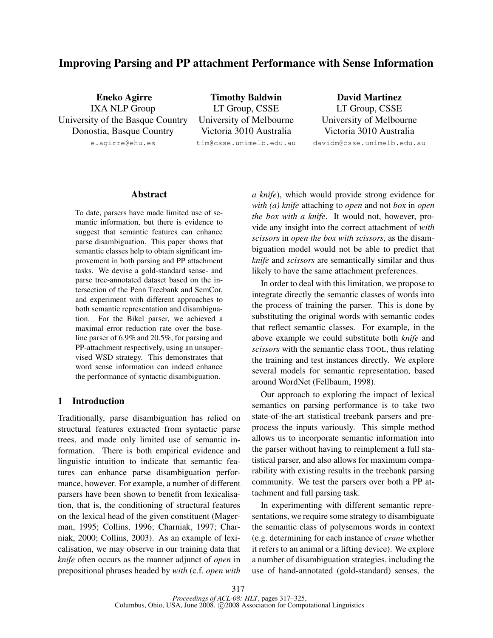# Improving Parsing and PP attachment Performance with Sense Information

Eneko Agirre IXA NLP Group University of the Basque Country Donostia, Basque Country

e.agirre@ehu.es

Timothy Baldwin LT Group, CSSE University of Melbourne Victoria 3010 Australia tim@csse.unimelb.edu.au

David Martinez LT Group, CSSE University of Melbourne Victoria 3010 Australia

davidm@csse.unimelb.edu.au

# Abstract

To date, parsers have made limited use of semantic information, but there is evidence to suggest that semantic features can enhance parse disambiguation. This paper shows that semantic classes help to obtain significant improvement in both parsing and PP attachment tasks. We devise a gold-standard sense- and parse tree-annotated dataset based on the intersection of the Penn Treebank and SemCor, and experiment with different approaches to both semantic representation and disambiguation. For the Bikel parser, we achieved a maximal error reduction rate over the baseline parser of 6.9% and 20.5%, for parsing and PP-attachment respectively, using an unsupervised WSD strategy. This demonstrates that word sense information can indeed enhance the performance of syntactic disambiguation.

# 1 Introduction

Traditionally, parse disambiguation has relied on structural features extracted from syntactic parse trees, and made only limited use of semantic information. There is both empirical evidence and linguistic intuition to indicate that semantic features can enhance parse disambiguation performance, however. For example, a number of different parsers have been shown to benefit from lexicalisation, that is, the conditioning of structural features on the lexical head of the given constituent (Magerman, 1995; Collins, 1996; Charniak, 1997; Charniak, 2000; Collins, 2003). As an example of lexicalisation, we may observe in our training data that *knife* often occurs as the manner adjunct of *open* in prepositional phrases headed by *with* (c.f. *open with* *a knife*), which would provide strong evidence for *with (a) knife* attaching to *open* and not *box* in *open the box with a knife*. It would not, however, provide any insight into the correct attachment of *with scissors* in *open the box with scissors*, as the disambiguation model would not be able to predict that *knife* and *scissors* are semantically similar and thus likely to have the same attachment preferences.

In order to deal with this limitation, we propose to integrate directly the semantic classes of words into the process of training the parser. This is done by substituting the original words with semantic codes that reflect semantic classes. For example, in the above example we could substitute both *knife* and *scissors* with the semantic class TOOL, thus relating the training and test instances directly. We explore several models for semantic representation, based around WordNet (Fellbaum, 1998).

Our approach to exploring the impact of lexical semantics on parsing performance is to take two state-of-the-art statistical treebank parsers and preprocess the inputs variously. This simple method allows us to incorporate semantic information into the parser without having to reimplement a full statistical parser, and also allows for maximum comparability with existing results in the treebank parsing community. We test the parsers over both a PP attachment and full parsing task.

In experimenting with different semantic representations, we require some strategy to disambiguate the semantic class of polysemous words in context (e.g. determining for each instance of *crane* whether it refers to an animal or a lifting device). We explore a number of disambiguation strategies, including the use of hand-annotated (gold-standard) senses, the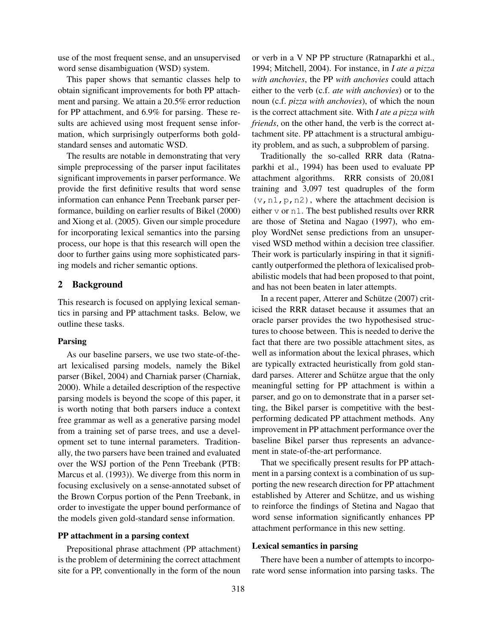use of the most frequent sense, and an unsupervised word sense disambiguation (WSD) system.

This paper shows that semantic classes help to obtain significant improvements for both PP attachment and parsing. We attain a 20.5% error reduction for PP attachment, and 6.9% for parsing. These results are achieved using most frequent sense information, which surprisingly outperforms both goldstandard senses and automatic WSD.

The results are notable in demonstrating that very simple preprocessing of the parser input facilitates significant improvements in parser performance. We provide the first definitive results that word sense information can enhance Penn Treebank parser performance, building on earlier results of Bikel (2000) and Xiong et al. (2005). Given our simple procedure for incorporating lexical semantics into the parsing process, our hope is that this research will open the door to further gains using more sophisticated parsing models and richer semantic options.

## 2 Background

This research is focused on applying lexical semantics in parsing and PP attachment tasks. Below, we outline these tasks.

#### Parsing

As our baseline parsers, we use two state-of-theart lexicalised parsing models, namely the Bikel parser (Bikel, 2004) and Charniak parser (Charniak, 2000). While a detailed description of the respective parsing models is beyond the scope of this paper, it is worth noting that both parsers induce a context free grammar as well as a generative parsing model from a training set of parse trees, and use a development set to tune internal parameters. Traditionally, the two parsers have been trained and evaluated over the WSJ portion of the Penn Treebank (PTB: Marcus et al. (1993)). We diverge from this norm in focusing exclusively on a sense-annotated subset of the Brown Corpus portion of the Penn Treebank, in order to investigate the upper bound performance of the models given gold-standard sense information.

## PP attachment in a parsing context

Prepositional phrase attachment (PP attachment) is the problem of determining the correct attachment site for a PP, conventionally in the form of the noun or verb in a V NP PP structure (Ratnaparkhi et al., 1994; Mitchell, 2004). For instance, in *I ate a pizza with anchovies*, the PP *with anchovies* could attach either to the verb (c.f. *ate with anchovies*) or to the noun (c.f. *pizza with anchovies*), of which the noun is the correct attachment site. With *I ate a pizza with friends*, on the other hand, the verb is the correct attachment site. PP attachment is a structural ambiguity problem, and as such, a subproblem of parsing.

Traditionally the so-called RRR data (Ratnaparkhi et al., 1994) has been used to evaluate PP attachment algorithms. RRR consists of 20,081 training and 3,097 test quadruples of the form  $(v, n1, p, n2)$ , where the attachment decision is either v or n1. The best published results over RRR are those of Stetina and Nagao (1997), who employ WordNet sense predictions from an unsupervised WSD method within a decision tree classifier. Their work is particularly inspiring in that it significantly outperformed the plethora of lexicalised probabilistic models that had been proposed to that point, and has not been beaten in later attempts.

In a recent paper, Atterer and Schütze (2007) criticised the RRR dataset because it assumes that an oracle parser provides the two hypothesised structures to choose between. This is needed to derive the fact that there are two possible attachment sites, as well as information about the lexical phrases, which are typically extracted heuristically from gold standard parses. Atterer and Schütze argue that the only meaningful setting for PP attachment is within a parser, and go on to demonstrate that in a parser setting, the Bikel parser is competitive with the bestperforming dedicated PP attachment methods. Any improvement in PP attachment performance over the baseline Bikel parser thus represents an advancement in state-of-the-art performance.

That we specifically present results for PP attachment in a parsing context is a combination of us supporting the new research direction for PP attachment established by Atterer and Schütze, and us wishing to reinforce the findings of Stetina and Nagao that word sense information significantly enhances PP attachment performance in this new setting.

#### Lexical semantics in parsing

There have been a number of attempts to incorporate word sense information into parsing tasks. The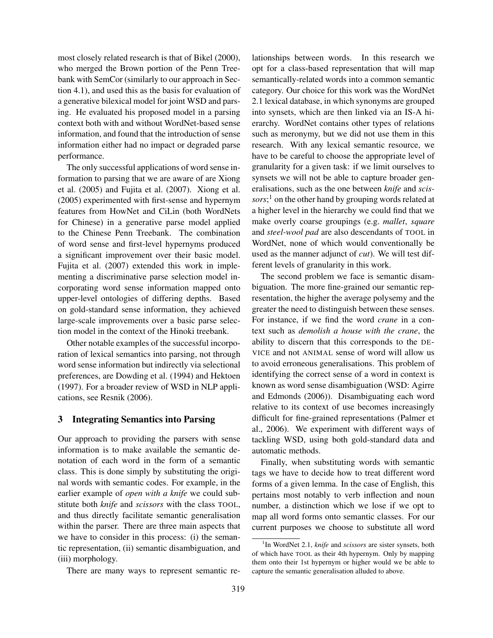most closely related research is that of Bikel (2000), who merged the Brown portion of the Penn Treebank with SemCor (similarly to our approach in Section 4.1), and used this as the basis for evaluation of a generative bilexical model for joint WSD and parsing. He evaluated his proposed model in a parsing context both with and without WordNet-based sense information, and found that the introduction of sense information either had no impact or degraded parse performance.

The only successful applications of word sense information to parsing that we are aware of are Xiong et al. (2005) and Fujita et al. (2007). Xiong et al. (2005) experimented with first-sense and hypernym features from HowNet and CiLin (both WordNets for Chinese) in a generative parse model applied to the Chinese Penn Treebank. The combination of word sense and first-level hypernyms produced a significant improvement over their basic model. Fujita et al. (2007) extended this work in implementing a discriminative parse selection model incorporating word sense information mapped onto upper-level ontologies of differing depths. Based on gold-standard sense information, they achieved large-scale improvements over a basic parse selection model in the context of the Hinoki treebank.

Other notable examples of the successful incorporation of lexical semantics into parsing, not through word sense information but indirectly via selectional preferences, are Dowding et al. (1994) and Hektoen (1997). For a broader review of WSD in NLP applications, see Resnik (2006).

#### 3 Integrating Semantics into Parsing

Our approach to providing the parsers with sense information is to make available the semantic denotation of each word in the form of a semantic class. This is done simply by substituting the original words with semantic codes. For example, in the earlier example of *open with a knife* we could substitute both *knife* and *scissors* with the class TOOL, and thus directly facilitate semantic generalisation within the parser. There are three main aspects that we have to consider in this process: (i) the semantic representation, (ii) semantic disambiguation, and (iii) morphology.

There are many ways to represent semantic re-

lationships between words. In this research we opt for a class-based representation that will map semantically-related words into a common semantic category. Our choice for this work was the WordNet 2.1 lexical database, in which synonyms are grouped into synsets, which are then linked via an IS-A hierarchy. WordNet contains other types of relations such as meronymy, but we did not use them in this research. With any lexical semantic resource, we have to be careful to choose the appropriate level of granularity for a given task: if we limit ourselves to synsets we will not be able to capture broader generalisations, such as the one between *knife* and *scissors*; <sup>1</sup> on the other hand by grouping words related at a higher level in the hierarchy we could find that we make overly coarse groupings (e.g. *mallet*, *square* and *steel-wool pad* are also descendants of TOOL in WordNet, none of which would conventionally be used as the manner adjunct of *cut*). We will test different levels of granularity in this work.

The second problem we face is semantic disambiguation. The more fine-grained our semantic representation, the higher the average polysemy and the greater the need to distinguish between these senses. For instance, if we find the word *crane* in a context such as *demolish a house with the crane*, the ability to discern that this corresponds to the DE-VICE and not ANIMAL sense of word will allow us to avoid erroneous generalisations. This problem of identifying the correct sense of a word in context is known as word sense disambiguation (WSD: Agirre and Edmonds (2006)). Disambiguating each word relative to its context of use becomes increasingly difficult for fine-grained representations (Palmer et al., 2006). We experiment with different ways of tackling WSD, using both gold-standard data and automatic methods.

Finally, when substituting words with semantic tags we have to decide how to treat different word forms of a given lemma. In the case of English, this pertains most notably to verb inflection and noun number, a distinction which we lose if we opt to map all word forms onto semantic classes. For our current purposes we choose to substitute all word

<sup>1</sup> In WordNet 2.1, *knife* and *scissors* are sister synsets, both of which have TOOL as their 4th hypernym. Only by mapping them onto their 1st hypernym or higher would we be able to capture the semantic generalisation alluded to above.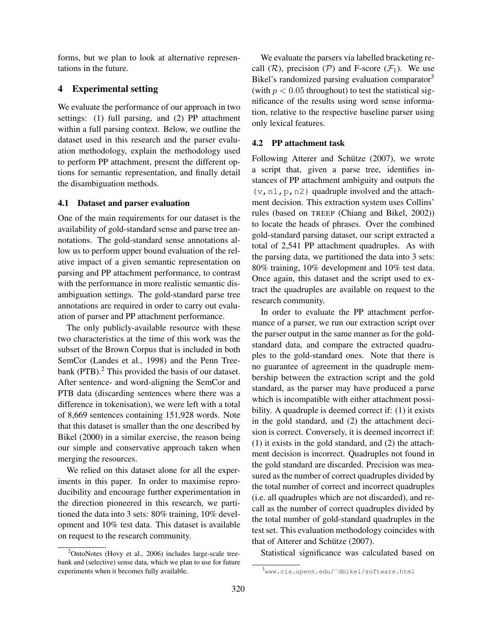forms, but we plan to look at alternative representations in the future.

# 4 Experimental setting

We evaluate the performance of our approach in two settings: (1) full parsing, and (2) PP attachment within a full parsing context. Below, we outline the dataset used in this research and the parser evaluation methodology, explain the methodology used to perform PP attachment, present the different options for semantic representation, and finally detail the disambiguation methods.

## 4.1 Dataset and parser evaluation

One of the main requirements for our dataset is the availability of gold-standard sense and parse tree annotations. The gold-standard sense annotations allow us to perform upper bound evaluation of the relative impact of a given semantic representation on parsing and PP attachment performance, to contrast with the performance in more realistic semantic disambiguation settings. The gold-standard parse tree annotations are required in order to carry out evaluation of parser and PP attachment performance.

The only publicly-available resource with these two characteristics at the time of this work was the subset of the Brown Corpus that is included in both SemCor (Landes et al., 1998) and the Penn Treebank (PTB).<sup>2</sup> This provided the basis of our dataset. After sentence- and word-aligning the SemCor and PTB data (discarding sentences where there was a difference in tokenisation), we were left with a total of 8,669 sentences containing 151,928 words. Note that this dataset is smaller than the one described by Bikel (2000) in a similar exercise, the reason being our simple and conservative approach taken when merging the resources.

We relied on this dataset alone for all the experiments in this paper. In order to maximise reproducibility and encourage further experimentation in the direction pioneered in this research, we partitioned the data into 3 sets: 80% training, 10% development and 10% test data. This dataset is available on request to the research community.

We evaluate the parsers via labelled bracketing recall  $(R)$ , precision  $(P)$  and F-score  $(F_1)$ . We use Bikel's randomized parsing evaluation comparator<sup>3</sup> (with  $p < 0.05$  throughout) to test the statistical significance of the results using word sense information, relative to the respective baseline parser using only lexical features.

## 4.2 PP attachment task

Following Atterer and Schütze (2007), we wrote a script that, given a parse tree, identifies instances of PP attachment ambiguity and outputs the  $(v, n1, p, n2)$  quadruple involved and the attachment decision. This extraction system uses Collins' rules (based on TREEP (Chiang and Bikel, 2002)) to locate the heads of phrases. Over the combined gold-standard parsing dataset, our script extracted a total of 2,541 PP attachment quadruples. As with the parsing data, we partitioned the data into 3 sets: 80% training, 10% development and 10% test data. Once again, this dataset and the script used to extract the quadruples are available on request to the research community.

In order to evaluate the PP attachment performance of a parser, we run our extraction script over the parser output in the same manner as for the goldstandard data, and compare the extracted quadruples to the gold-standard ones. Note that there is no guarantee of agreement in the quadruple membership between the extraction script and the gold standard, as the parser may have produced a parse which is incompatible with either attachment possibility. A quadruple is deemed correct if: (1) it exists in the gold standard, and (2) the attachment decision is correct. Conversely, it is deemed incorrect if: (1) it exists in the gold standard, and (2) the attachment decision is incorrect. Quadruples not found in the gold standard are discarded. Precision was measured as the number of correct quadruples divided by the total number of correct and incorrect quadruples (i.e. all quadruples which are not discarded), and recall as the number of correct quadruples divided by the total number of gold-standard quadruples in the test set. This evaluation methodology coincides with that of Atterer and Schütze (2007).

Statistical significance was calculated based on

 $2$ OntoNotes (Hovy et al., 2006) includes large-scale treebank and (selective) sense data, which we plan to use for future experiments when it becomes fully available.

<sup>&</sup>lt;sup>3</sup>www.cis.upenn.edu/~dbikel/software.html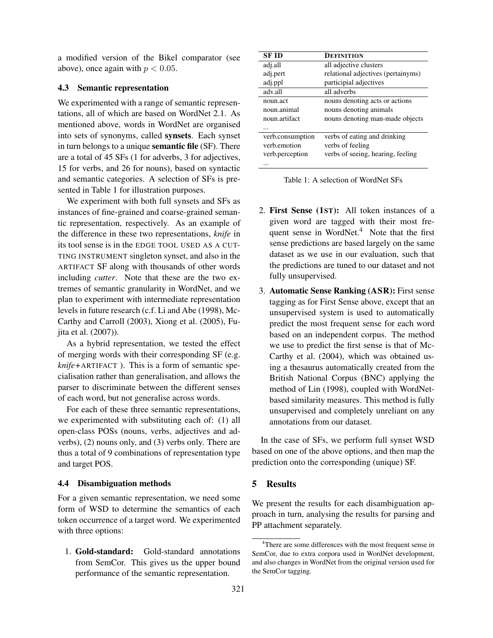a modified version of the Bikel comparator (see above), once again with  $p < 0.05$ .

## 4.3 Semantic representation

We experimented with a range of semantic representations, all of which are based on WordNet 2.1. As mentioned above, words in WordNet are organised into sets of synonyms, called synsets. Each synset in turn belongs to a unique semantic file (SF). There are a total of 45 SFs (1 for adverbs, 3 for adjectives, 15 for verbs, and 26 for nouns), based on syntactic and semantic categories. A selection of SFs is presented in Table 1 for illustration purposes.

We experiment with both full synsets and SFs as instances of fine-grained and coarse-grained semantic representation, respectively. As an example of the difference in these two representations, *knife* in its tool sense is in the EDGE TOOL USED AS A CUT-TING INSTRUMENT singleton synset, and also in the ARTIFACT SF along with thousands of other words including *cutter*. Note that these are the two extremes of semantic granularity in WordNet, and we plan to experiment with intermediate representation levels in future research (c.f. Li and Abe (1998), Mc-Carthy and Carroll (2003), Xiong et al. (2005), Fujita et al. (2007)).

As a hybrid representation, we tested the effect of merging words with their corresponding SF (e.g. *knife+*ARTIFACT ). This is a form of semantic specialisation rather than generalisation, and allows the parser to discriminate between the different senses of each word, but not generalise across words.

For each of these three semantic representations, we experimented with substituting each of: (1) all open-class POSs (nouns, verbs, adjectives and adverbs), (2) nouns only, and (3) verbs only. There are thus a total of 9 combinations of representation type and target POS.

#### 4.4 Disambiguation methods

For a given semantic representation, we need some form of WSD to determine the semantics of each token occurrence of a target word. We experimented with three options:

1. Gold-standard: Gold-standard annotations from SemCor. This gives us the upper bound performance of the semantic representation.

| <b>SF ID</b>     | DEFINITION                         |
|------------------|------------------------------------|
| adj.all          | all adjective clusters             |
| adj.pert         | relational adjectives (pertainyms) |
| adj.ppl          | participial adjectives             |
| adv.all          | all adverbs                        |
| noun.act         | nouns denoting acts or actions     |
| noun animal      | nouns denoting animals             |
| noun.artifact    | nouns denoting man-made objects    |
|                  |                                    |
| verb.consumption | verbs of eating and drinking       |
| verb emotion     | verbs of feeling                   |
| verb.perception  | verbs of seeing, hearing, feeling  |
|                  |                                    |

| Table 1: A selection of WordNet SFs |  |  |  |
|-------------------------------------|--|--|--|
|-------------------------------------|--|--|--|

- 2. First Sense (1ST): All token instances of a given word are tagged with their most frequent sense in WordNet.<sup>4</sup> Note that the first sense predictions are based largely on the same dataset as we use in our evaluation, such that the predictions are tuned to our dataset and not fully unsupervised.
- 3. Automatic Sense Ranking (ASR): First sense tagging as for First Sense above, except that an unsupervised system is used to automatically predict the most frequent sense for each word based on an independent corpus. The method we use to predict the first sense is that of Mc-Carthy et al. (2004), which was obtained using a thesaurus automatically created from the British National Corpus (BNC) applying the method of Lin (1998), coupled with WordNetbased similarity measures. This method is fully unsupervised and completely unreliant on any annotations from our dataset.

In the case of SFs, we perform full synset WSD based on one of the above options, and then map the prediction onto the corresponding (unique) SF.

# 5 Results

We present the results for each disambiguation approach in turn, analysing the results for parsing and PP attachment separately.

<sup>&</sup>lt;sup>4</sup>There are some differences with the most frequent sense in SemCor, due to extra corpora used in WordNet development, and also changes in WordNet from the original version used for the SemCor tagging.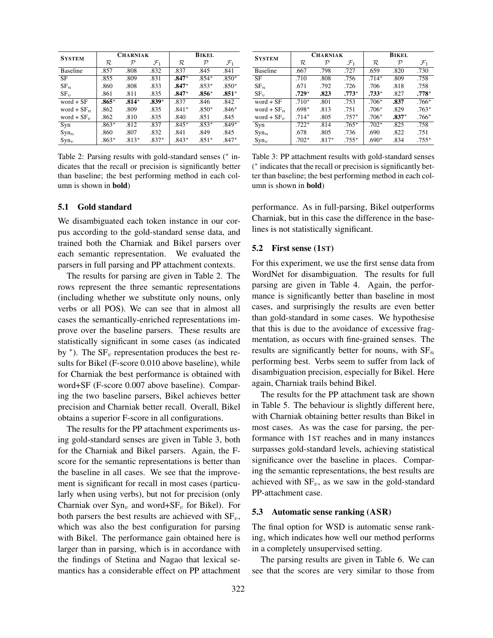| <b>SYSTEM</b>   |               | <b>CHARNIAK</b> |                 | <b>BIKEL</b>  |               |                 |  |
|-----------------|---------------|-----------------|-----------------|---------------|---------------|-----------------|--|
|                 | $\mathcal{R}$ | ${\cal P}$      | $\mathcal{F}_1$ | $\mathcal{R}$ | $\mathcal{P}$ | $\mathcal{F}_1$ |  |
| <b>Baseline</b> | .857          | .808            | .832            | .837          | .845          | .841            |  |
| <b>SF</b>       | .855          | .809            | .831            | $.847*$       | $.854*$       | $.850*$         |  |
| $SF_n$          | .860          | .808            | .833            | $.847*$       | $.853*$       | $.850*$         |  |
| $SF_{\eta}$     | .861          | .811            | .835            | $.847*$       | $.856*$       | $.851*$         |  |
| $word + SF$     | $.865*$       | $.814*$         | $.839*$         | .837          | .846          | .842            |  |
| word + $SF_n$   | .862          | .809            | .835            | $.841*$       | $.850*$       | $.846*$         |  |
| word + $SF_v$   | .862          | .810            | .835            | .840          | .851          | .845            |  |
| Syn             | $.863*$       | .812            | .837            | $.845*$       | $.853*$       | $.849*$         |  |
| $Syn_n$         | .860          | .807            | .832            | .841          | .849          | .845            |  |
| $Sym_{v}$       | $.863*$       | $.813*$         | $.837*$         | $.843*$       | $.851*$       | $.847*$         |  |

Table 2: Parsing results with gold-standard senses (*<sup>∗</sup>* indicates that the recall or precision is significantly better than baseline; the best performing method in each column is shown in bold)

#### 5.1 Gold standard

We disambiguated each token instance in our corpus according to the gold-standard sense data, and trained both the Charniak and Bikel parsers over each semantic representation. We evaluated the parsers in full parsing and PP attachment contexts.

The results for parsing are given in Table 2. The rows represent the three semantic representations (including whether we substitute only nouns, only verbs or all POS). We can see that in almost all cases the semantically-enriched representations improve over the baseline parsers. These results are statistically significant in some cases (as indicated by *∗* ). The SF*<sup>v</sup>* representation produces the best results for Bikel (F-score 0.010 above baseline), while for Charniak the best performance is obtained with word+SF (F-score 0.007 above baseline). Comparing the two baseline parsers, Bikel achieves better precision and Charniak better recall. Overall, Bikel obtains a superior F-score in all configurations.

The results for the PP attachment experiments using gold-standard senses are given in Table 3, both for the Charniak and Bikel parsers. Again, the Fscore for the semantic representations is better than the baseline in all cases. We see that the improvement is significant for recall in most cases (particularly when using verbs), but not for precision (only Charniak over Syn*<sup>v</sup>* and word+SF*<sup>v</sup>* for Bikel). For both parsers the best results are achieved with  $SF_v$ , which was also the best configuration for parsing with Bikel. The performance gain obtained here is larger than in parsing, which is in accordance with the findings of Stetina and Nagao that lexical semantics has a considerable effect on PP attachment

| <b>SYSTEM</b>   |         | <b>CHARNIAK</b> |                 | <b>BIKEL</b> |               |                 |  |
|-----------------|---------|-----------------|-----------------|--------------|---------------|-----------------|--|
|                 | R       | $\mathcal{P}$   | $\mathcal{F}_1$ | $\cal R$     | $\mathcal{P}$ | $\mathcal{F}_1$ |  |
| <b>Baseline</b> | .667    | .798            | .727            | .659         | .820          | .730            |  |
| <b>SF</b>       | .710    | .808            | .756            | $.714*$      | .809          | .758            |  |
| $SF_n$          | .671    | .792            | .726            | .706         | .818          | .758            |  |
| $SF_{\eta}$     | $.729*$ | .823            | $.773*$         | $.733*$      | .827          | $.778*$         |  |
| word $+ SF$     | $.710*$ | .801            | .753            | $.706*$      | .837          | $.766*$         |  |
| word + $SF_n$   | $.698*$ | .813            | .751            | $.706*$      | .829          | $.763*$         |  |
| word + $SF_v$   | $.714*$ | .805            | $.757*$         | $.706*$      | $.837*$       | $.766*$         |  |
| Syn             | $.722*$ | .814            | $.765*$         | $.702*$      | .825          | .758            |  |
| $Syn_n$         | .678    | .805            | .736            | .690         | .822          | .751            |  |
| $Syn_v$         | $.702*$ | $.817*$         | $.755*$         | $.690*$      | .834          | $.755*$         |  |

Table 3: PP attachment results with gold-standard senses ( *∗* indicates that the recall or precision is significantly better than baseline; the best performing method in each column is shown in bold)

performance. As in full-parsing, Bikel outperforms Charniak, but in this case the difference in the baselines is not statistically significant.

#### 5.2 First sense (1ST)

For this experiment, we use the first sense data from WordNet for disambiguation. The results for full parsing are given in Table 4. Again, the performance is significantly better than baseline in most cases, and surprisingly the results are even better than gold-standard in some cases. We hypothesise that this is due to the avoidance of excessive fragmentation, as occurs with fine-grained senses. The results are significantly better for nouns, with SF*<sup>n</sup>* performing best. Verbs seem to suffer from lack of disambiguation precision, especially for Bikel. Here again, Charniak trails behind Bikel.

The results for the PP attachment task are shown in Table 5. The behaviour is slightly different here, with Charniak obtaining better results than Bikel in most cases. As was the case for parsing, the performance with 1ST reaches and in many instances surpasses gold-standard levels, achieving statistical significance over the baseline in places. Comparing the semantic representations, the best results are achieved with  $SF_v$ , as we saw in the gold-standard PP-attachment case.

#### 5.3 Automatic sense ranking (ASR)

The final option for WSD is automatic sense ranking, which indicates how well our method performs in a completely unsupervised setting.

The parsing results are given in Table 6. We can see that the scores are very similar to those from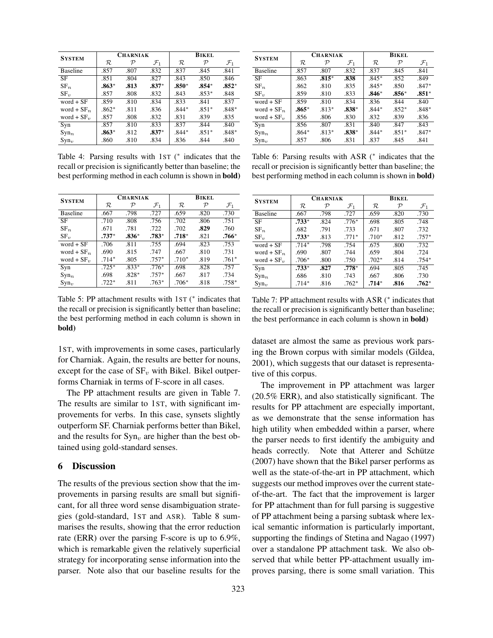| <b>SYSTEM</b>   |         | <b>CHARNIAK</b> |                 | <b>BIKEL</b> |            |                 |  |
|-----------------|---------|-----------------|-----------------|--------------|------------|-----------------|--|
|                 | R       | ${\cal P}$      | $\mathcal{F}_1$ | $\mathcal R$ | ${\cal P}$ | $\mathcal{F}_1$ |  |
| <b>Baseline</b> | .857    | .807            | .832            | .837         | .845       | .841            |  |
| SF              | .851    | .804            | .827            | .843         | .850       | .846            |  |
| $SF_n$          | $.863*$ | .813            | $.837*$         | $.850*$      | $.854*$    | $.852*$         |  |
| $SF_{\eta}$     | .857    | .808            | .832            | .843         | $.853*$    | .848            |  |
| $word + SF$     | .859    | .810            | .834            | .833         | .841       | .837            |  |
| word + $SF_n$   | $.862*$ | .811            | .836            | $.844*$      | $.851*$    | $.848*$         |  |
| word + $SF_v$   | .857    | .808            | .832            | .831         | .839       | .835            |  |
| Syn             | .857    | .810            | .833            | .837         | .844       | .840            |  |
| $Syn_n$         | $.863*$ | .812            | $.837*$         | $.844*$      | $.851*$    | $.848*$         |  |
| $Sym_{v}$       | .860    | .810            | .834            | .836         | .844       | .840            |  |

Table 4: Parsing results with 1ST ( *∗* indicates that the recall or precision is significantly better than baseline; the best performing method in each column is shown in bold)

| <b>SYSTEM</b>    |         | <b>CHARNIAK</b> |                 | <b>BIKEL</b> |            |                 |
|------------------|---------|-----------------|-----------------|--------------|------------|-----------------|
|                  | R       | ${\cal P}$      | $\mathcal{F}_1$ | $\cal R$     | ${\cal P}$ | $\mathcal{F}_1$ |
| <b>Baseline</b>  | .667    | .798            | .727            | .659         | .820       | .730            |
| SF               | .710    | .808            | .756            | .702         | .806       | .751            |
| $SF_n$           | .671    | .781            | .722            | .702         | .829       | .760            |
| $SF_{\eta}$      | $.737*$ | $.836*$         | $.783*$         | $.718*$      | .821       | $.766*$         |
| $word + SF$      | .706    | .811            | .755            | .694         | .823       | .753            |
| word + $SF_n$    | .690    | .815            | .747            | .667         | .810       | .731            |
| word + $SFv$     | $.714*$ | .805            | $.757*$         | $.710*$      | .819       | $.761*$         |
| Syn              | $.725*$ | $.833*$         | $.776*$         | .698         | .828       | .757            |
| Syn <sub>n</sub> | .698    | $.828*$         | $.757*$         | .667         | .817       | .734            |
| $Sym_{v}$        | $.722*$ | .811            | $.763*$         | $.706*$      | .818       | $.758*$         |

Table 5: PP attachment results with 1ST ( *∗* indicates that the recall or precision is significantly better than baseline; the best performing method in each column is shown in bold)

1ST, with improvements in some cases, particularly for Charniak. Again, the results are better for nouns, except for the case of  $SF_v$  with Bikel. Bikel outperforms Charniak in terms of F-score in all cases.

The PP attachment results are given in Table 7. The results are similar to 1ST, with significant improvements for verbs. In this case, synsets slightly outperform SF. Charniak performs better than Bikel, and the results for  $\text{Syn}_v$  are higher than the best obtained using gold-standard senses.

# 6 Discussion

The results of the previous section show that the improvements in parsing results are small but significant, for all three word sense disambiguation strategies (gold-standard, 1ST and ASR). Table 8 summarises the results, showing that the error reduction rate (ERR) over the parsing F-score is up to 6.9%, which is remarkable given the relatively superficial strategy for incorporating sense information into the parser. Note also that our baseline results for the

| <b>SYSTEM</b>   |         | <b>CHARNIAK</b> |                 | <b>BIKEL</b> |               |                 |  |
|-----------------|---------|-----------------|-----------------|--------------|---------------|-----------------|--|
|                 | R       | ${\cal P}$      | $\mathcal{F}_1$ | R            | $\mathcal{P}$ | $\mathcal{F}_1$ |  |
| <b>Baseline</b> | .857    | .807            | .832            | .837         | .845          | .841            |  |
| SF              | .863    | $.815*$         | .838            | $.845*$      | .852          | .849            |  |
| $SF_n$          | .862    | .810            | .835            | $.845*$      | .850          | $.847*$         |  |
| $SF_{\eta}$     | .859    | .810            | .833            | $.846*$      | $.856*$       | $.851*$         |  |
| $word + SF$     | .859    | .810            | .834            | .836         | .844          | .840            |  |
| word + $SF_n$   | $.865*$ | $.813*$         | $.838*$         | $.844*$      | $.852*$       | $.848*$         |  |
| word + $SF_v$   | .856    | .806            | .830            | .832         | .839          | .836            |  |
| Syn             | .856    | .807            | .831            | .840         | .847          | .843            |  |
| $Syn_n$         | $.864*$ | $.813*$         | $.838*$         | $.844*$      | $.851*$       | $.847*$         |  |
| $Sym_{v}$       | .857    | .806            | .831            | .837         | .845          | .841            |  |

Table 6: Parsing results with ASR (*<sup>∗</sup>* indicates that the recall or precision is significantly better than baseline; the best performing method in each column is shown in bold)

| <b>SYSTEM</b>   |         | <b>CHARNIAK</b> |                 | <b>BIKEL</b> |            |                 |
|-----------------|---------|-----------------|-----------------|--------------|------------|-----------------|
|                 | R       | ${\cal P}$      | $\mathcal{F}_1$ | R            | ${\cal P}$ | $\mathcal{F}_1$ |
| <b>Baseline</b> | .667    | .798            | .727            | .659         | .820       | .730            |
| SF              | $.733*$ | .824            | $.776*$         | .698         | .805       | .748            |
| $SF_n$          | .682    | .791            | .733            | .671         | .807       | .732            |
| $SF_{\nu}$      | $.733*$ | .813            | $.771*$         | $.710*$      | .812       | $.757*$         |
| $word + SF$     | $.714*$ | .798            | .754            | .675         | .800       | .732            |
| word + $SF_n$   | .690    | .807            | .744            | .659         | .804       | .724            |
| word + $SF_v$   | $.706*$ | .800            | .750            | $.702*$      | .814       | $.754*$         |
| Syn             | $.733*$ | .827            | $.778*$         | .694         | .805       | .745            |
| $Syn_n$         | .686    | .810            | .743            | .667         | .806       | .730            |
| $Sym_{v}$       | $.714*$ | .816            | $.762*$         | $.714*$      | .816       | $.762*$         |

Table 7: PP attachment results with ASR (*<sup>∗</sup>* indicates that the recall or precision is significantly better than baseline; the best performance in each column is shown in bold)

dataset are almost the same as previous work parsing the Brown corpus with similar models (Gildea, 2001), which suggests that our dataset is representative of this corpus.

The improvement in PP attachment was larger (20.5% ERR), and also statistically significant. The results for PP attachment are especially important, as we demonstrate that the sense information has high utility when embedded within a parser, where the parser needs to first identify the ambiguity and heads correctly. Note that Atterer and Schütze (2007) have shown that the Bikel parser performs as well as the state-of-the-art in PP attachment, which suggests our method improves over the current stateof-the-art. The fact that the improvement is larger for PP attachment than for full parsing is suggestive of PP attachment being a parsing subtask where lexical semantic information is particularly important, supporting the findings of Stetina and Nagao (1997) over a standalone PP attachment task. We also observed that while better PP-attachment usually improves parsing, there is some small variation. This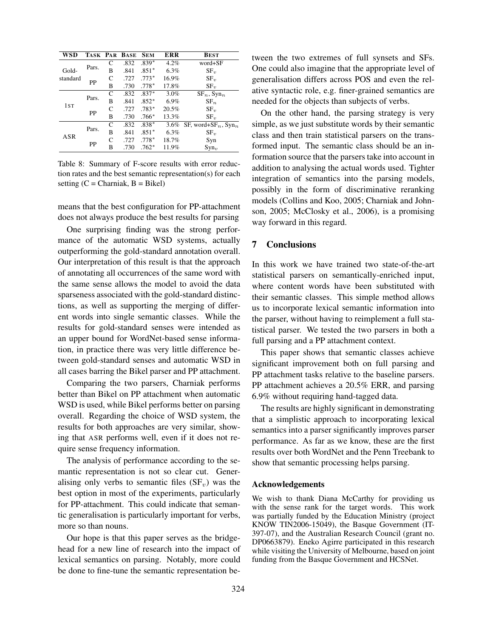| WSD             |       |      | TASK PAR BASE | <b>SEM</b> | ERR         | <b>BEST</b>                                 |
|-----------------|-------|------|---------------|------------|-------------|---------------------------------------------|
|                 | C     | .832 | $.839*$       | 4.2%       | word+SF     |                                             |
| Gold-           | Pars. | B    | .841          | $.851*$    | 6.3%        | $SF_{\eta}$                                 |
| standard        |       | C    | .727          | $.773*$    | 16.9%       | $SF_{\eta}$                                 |
| PP              | в     | .730 | $.778*$       | 17.8%      | $SF_{\eta}$ |                                             |
|                 |       | C    | .832          | $.837*$    | 3.0%        | $SF_n$ , $Syn_n$                            |
| 1 <sub>ST</sub> | Pars. | B    | .841          | $.852*$    | 6.9%        | $SF_n$                                      |
|                 |       | C    | .727          | $.783*$    | 20.5%       | $SF_{\eta}$                                 |
| PP              | B     | .730 | $.766*$       | 13.3%      | $SF_{\eta}$ |                                             |
|                 |       | C    | .832          | $.838*$    | $3.6\%$     | SF, word+SF <sub>n</sub> , Syn <sub>n</sub> |
| ASR             | Pars. | B    | .841          | $.851*$    | 6.3%        | $SF_{\eta}$                                 |
|                 |       | C    | .727          | $.778*$    | 18.7%       | Syn                                         |
|                 | PP    | B    | .730          | $.762*$    | 11.9%       | $Syn_v$                                     |

Table 8: Summary of F-score results with error reduction rates and the best semantic representation(s) for each setting  $(C = Charniak, B = Bikel)$ 

means that the best configuration for PP-attachment does not always produce the best results for parsing

One surprising finding was the strong performance of the automatic WSD systems, actually outperforming the gold-standard annotation overall. Our interpretation of this result is that the approach of annotating all occurrences of the same word with the same sense allows the model to avoid the data sparseness associated with the gold-standard distinctions, as well as supporting the merging of different words into single semantic classes. While the results for gold-standard senses were intended as an upper bound for WordNet-based sense information, in practice there was very little difference between gold-standard senses and automatic WSD in all cases barring the Bikel parser and PP attachment.

Comparing the two parsers, Charniak performs better than Bikel on PP attachment when automatic WSD is used, while Bikel performs better on parsing overall. Regarding the choice of WSD system, the results for both approaches are very similar, showing that ASR performs well, even if it does not require sense frequency information.

The analysis of performance according to the semantic representation is not so clear cut. Generalising only verbs to semantic files  $(SF_v)$  was the best option in most of the experiments, particularly for PP-attachment. This could indicate that semantic generalisation is particularly important for verbs, more so than nouns.

Our hope is that this paper serves as the bridgehead for a new line of research into the impact of lexical semantics on parsing. Notably, more could be done to fine-tune the semantic representation between the two extremes of full synsets and SFs. One could also imagine that the appropriate level of generalisation differs across POS and even the relative syntactic role, e.g. finer-grained semantics are needed for the objects than subjects of verbs.

On the other hand, the parsing strategy is very simple, as we just substitute words by their semantic class and then train statistical parsers on the transformed input. The semantic class should be an information source that the parsers take into account in addition to analysing the actual words used. Tighter integration of semantics into the parsing models, possibly in the form of discriminative reranking models (Collins and Koo, 2005; Charniak and Johnson, 2005; McClosky et al., 2006), is a promising way forward in this regard.

## 7 Conclusions

In this work we have trained two state-of-the-art statistical parsers on semantically-enriched input, where content words have been substituted with their semantic classes. This simple method allows us to incorporate lexical semantic information into the parser, without having to reimplement a full statistical parser. We tested the two parsers in both a full parsing and a PP attachment context.

This paper shows that semantic classes achieve significant improvement both on full parsing and PP attachment tasks relative to the baseline parsers. PP attachment achieves a 20.5% ERR, and parsing 6.9% without requiring hand-tagged data.

The results are highly significant in demonstrating that a simplistic approach to incorporating lexical semantics into a parser significantly improves parser performance. As far as we know, these are the first results over both WordNet and the Penn Treebank to show that semantic processing helps parsing.

#### Acknowledgements

We wish to thank Diana McCarthy for providing us with the sense rank for the target words. This work was partially funded by the Education Ministry (project KNOW TIN2006-15049), the Basque Government (IT-397-07), and the Australian Research Council (grant no. DP0663879). Eneko Agirre participated in this research while visiting the University of Melbourne, based on joint funding from the Basque Government and HCSNet.